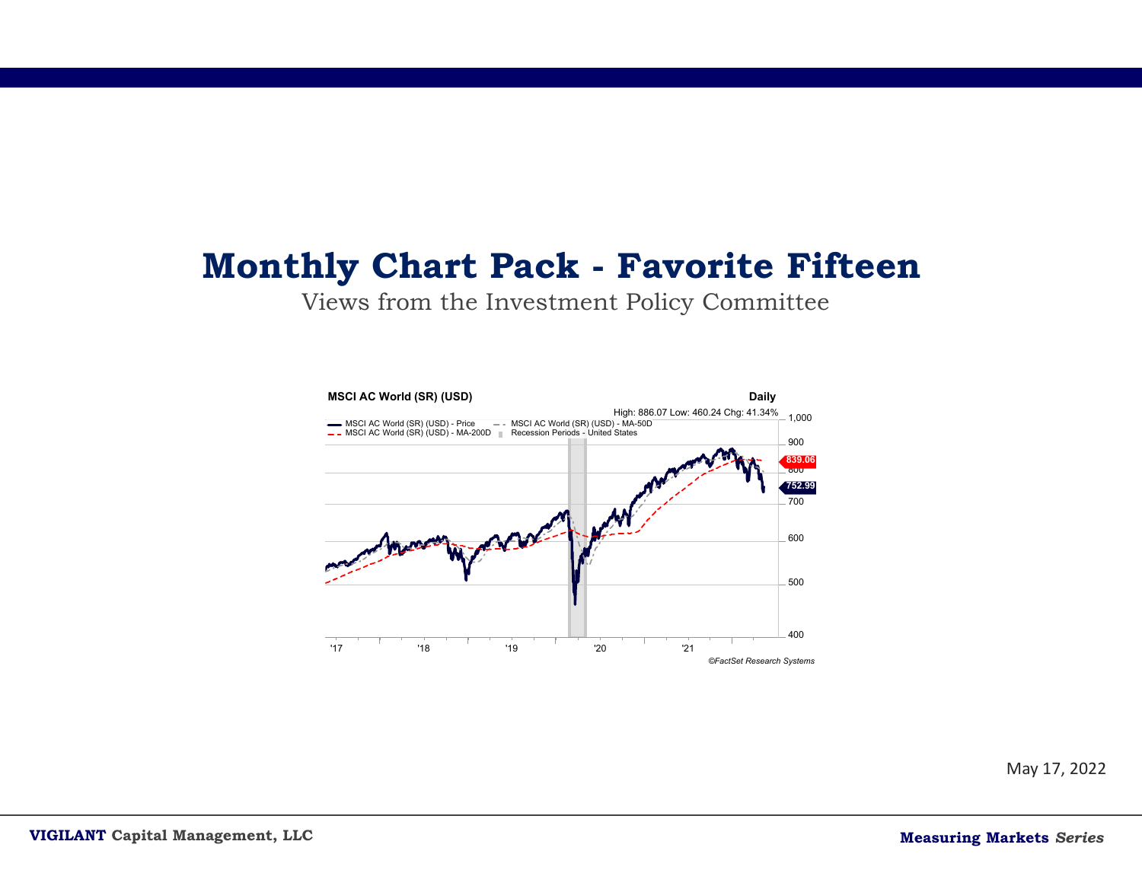# **Monthly Chart Pack - Favorite Fifteen**

Views from the Investment Policy Committee



May 17, 2022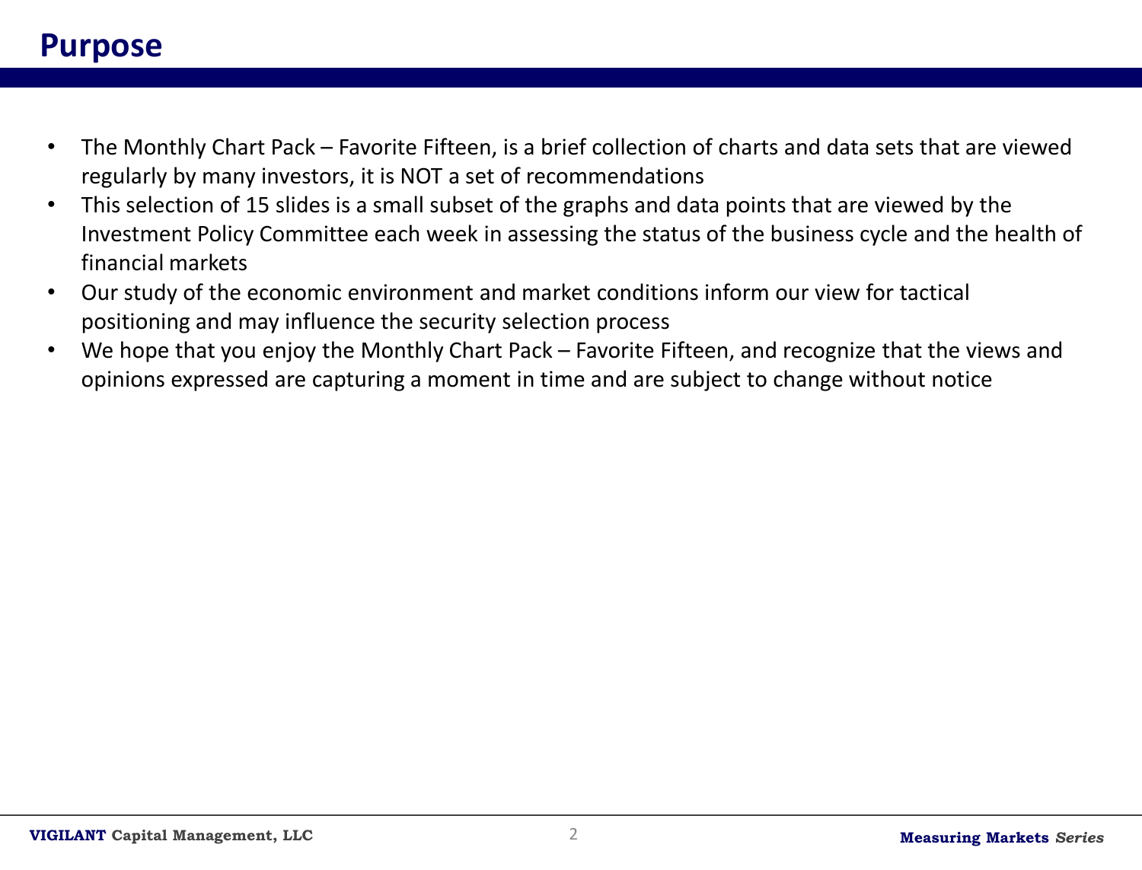#### **Purpose**

- The Monthly Chart Pack Favorite Fifteen, is a brief collection of charts and data sets that are viewed regularly by many investors, it is NOT a set of recommendations
- This selection of 15 slides is a small subset of the graphs and data points that are viewed by the Investment Policy Committee each week in assessing the status of the business cycle and the health of financial markets
- Our study of the economic environment and market conditions inform our view for tactical positioning and may influence the security selection process
- We hope that you enjoy the Monthly Chart Pack Favorite Fifteen, and recognize that the views and opinions expressed are capturing a moment in time and are subject to change without notice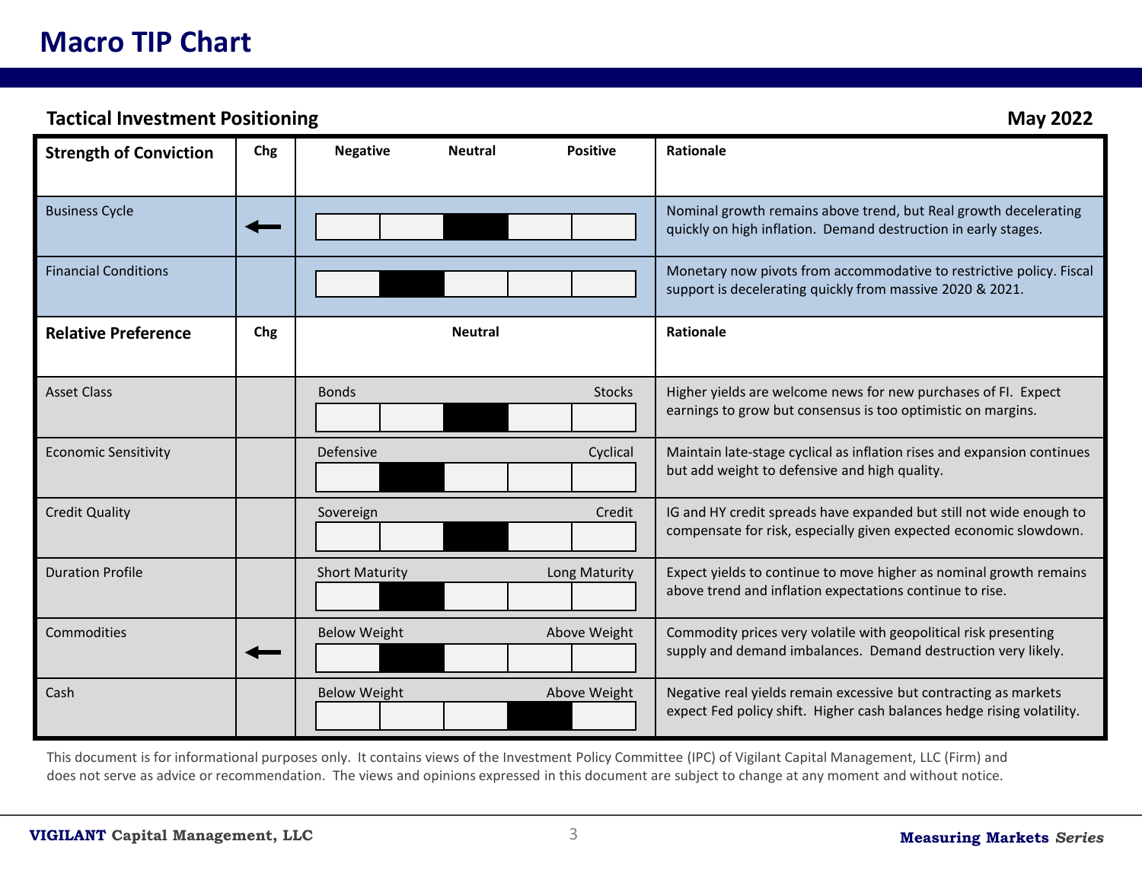| <b>May 2022</b><br><b>Tactical Investment Positioning</b> |     |                                   |                 |                                                                                                                                            |  |  |  |  |  |  |
|-----------------------------------------------------------|-----|-----------------------------------|-----------------|--------------------------------------------------------------------------------------------------------------------------------------------|--|--|--|--|--|--|
| <b>Strength of Conviction</b>                             | Chg | <b>Negative</b><br><b>Neutral</b> | <b>Positive</b> | Rationale                                                                                                                                  |  |  |  |  |  |  |
|                                                           |     |                                   |                 |                                                                                                                                            |  |  |  |  |  |  |
| <b>Business Cycle</b>                                     |     |                                   |                 | Nominal growth remains above trend, but Real growth decelerating<br>quickly on high inflation. Demand destruction in early stages.         |  |  |  |  |  |  |
| <b>Financial Conditions</b>                               |     |                                   |                 | Monetary now pivots from accommodative to restrictive policy. Fiscal<br>support is decelerating quickly from massive 2020 & 2021.          |  |  |  |  |  |  |
| <b>Relative Preference</b>                                | Chg | <b>Neutral</b>                    |                 | Rationale                                                                                                                                  |  |  |  |  |  |  |
| <b>Asset Class</b>                                        |     | <b>Bonds</b>                      | <b>Stocks</b>   | Higher yields are welcome news for new purchases of FI. Expect<br>earnings to grow but consensus is too optimistic on margins.             |  |  |  |  |  |  |
| <b>Economic Sensitivity</b>                               |     | Defensive                         | Cyclical        | Maintain late-stage cyclical as inflation rises and expansion continues<br>but add weight to defensive and high quality.                   |  |  |  |  |  |  |
| <b>Credit Quality</b>                                     |     | Sovereign                         | Credit          | IG and HY credit spreads have expanded but still not wide enough to<br>compensate for risk, especially given expected economic slowdown.   |  |  |  |  |  |  |
| <b>Duration Profile</b>                                   |     | <b>Short Maturity</b>             | Long Maturity   | Expect yields to continue to move higher as nominal growth remains<br>above trend and inflation expectations continue to rise.             |  |  |  |  |  |  |
| Commodities                                               |     | <b>Below Weight</b>               | Above Weight    | Commodity prices very volatile with geopolitical risk presenting<br>supply and demand imbalances. Demand destruction very likely.          |  |  |  |  |  |  |
| Cash                                                      |     | <b>Below Weight</b>               | Above Weight    | Negative real yields remain excessive but contracting as markets<br>expect Fed policy shift. Higher cash balances hedge rising volatility. |  |  |  |  |  |  |

This document is for informational purposes only. It contains views of the Investment Policy Committee (IPC) of Vigilant Capital Management, LLC (Firm) and does not serve as advice or recommendation. The views and opinions expressed in this document are subject to change at any moment and without notice.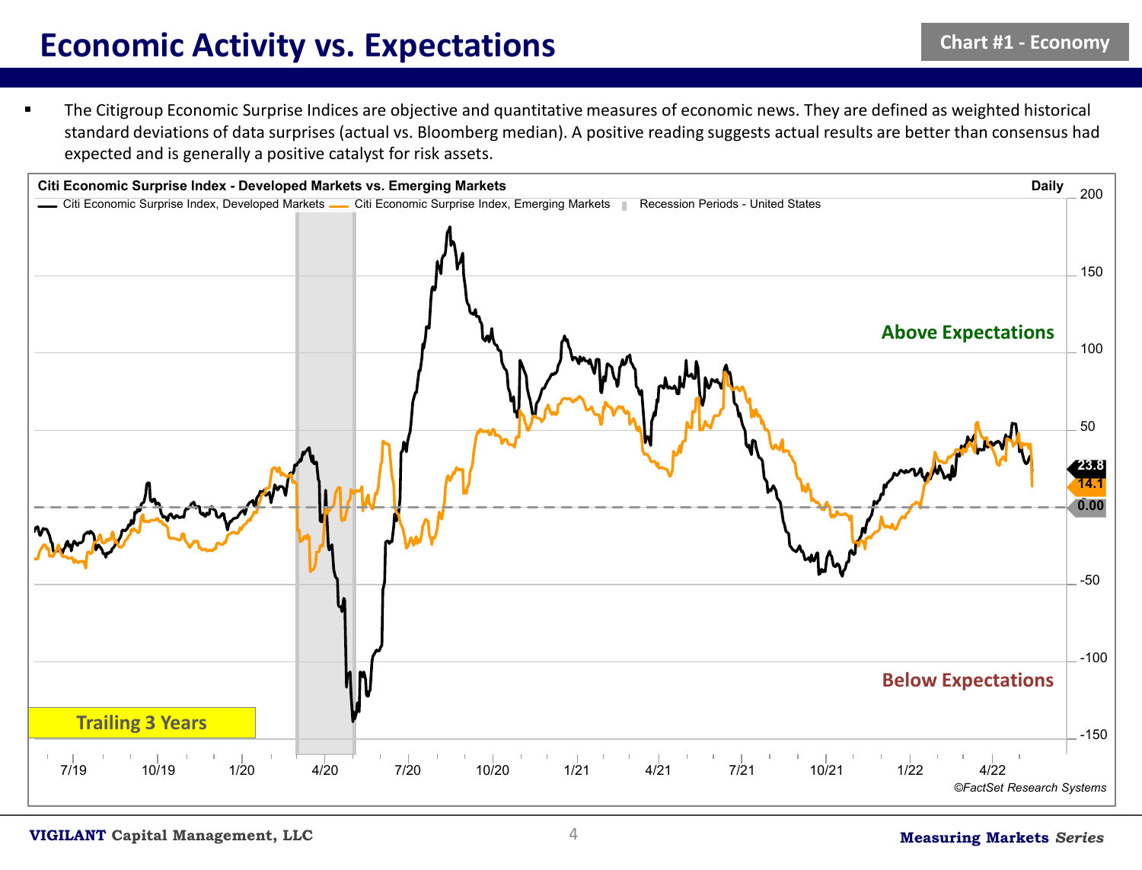The Citigroup Economic Surprise Indices are objective and quantitative measures of economic news. They are defined as weighted historical standard deviations of data surprises (actual vs. Bloomberg median). A positive reading suggests actual results are better than consensus had expected and is generally a positive catalyst for risk assets.

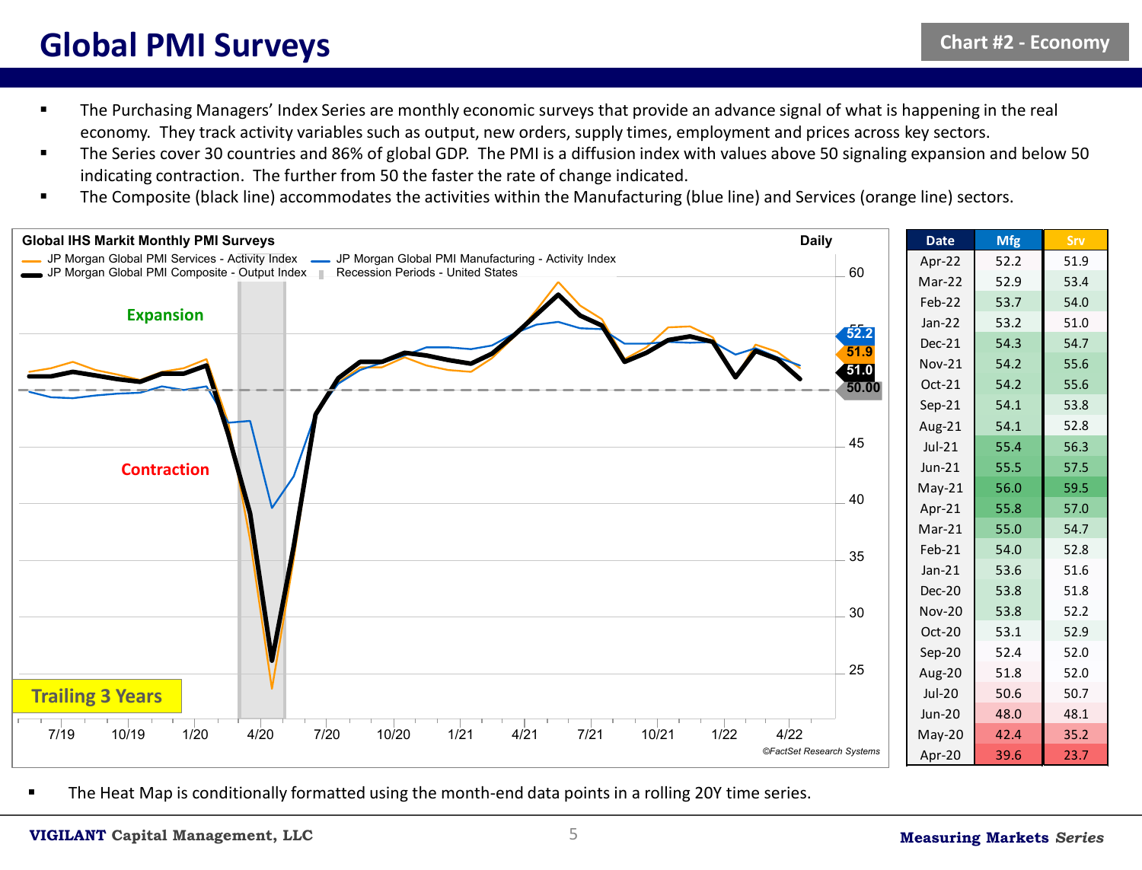#### **Global PMI Surveys**

- **Chart #2 - Economy**
- The Purchasing Managers' Index Series are monthly economic surveys that provide an advance signal of what is happening in the real economy. They track activity variables such as output, new orders, supply times, employment and prices across key sectors.
- The Series cover 30 countries and 86% of global GDP. The PMI is a diffusion index with values above 50 signaling expansion and below 50 indicating contraction. The further from 50 the faster the rate of change indicated.
- The Composite (black line) accommodates the activities within the Manufacturing (blue line) and Services (orange line) sectors.



The Heat Map is conditionally formatted using the month-end data points in a rolling 20Y time series.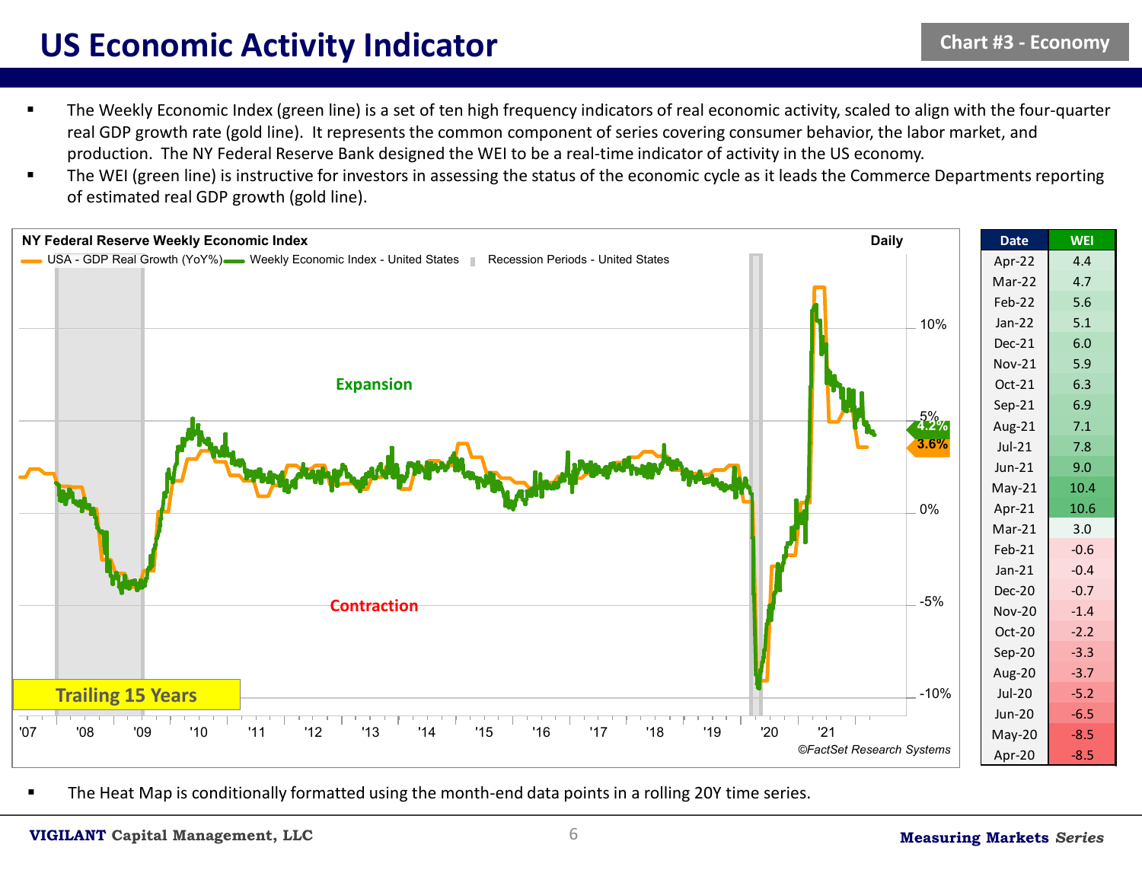# **US Economic Activity Indicator**

- The Weekly Economic Index (green line) is a set of ten high frequency indicators of real economic activity, scaled to align with the four-quarter real GDP growth rate (gold line). It represents the common component of series covering consumer behavior, the labor market, and production. The NY Federal Reserve Bank designed the WEI to be a real-time indicator of activity in the US economy.
- The WEI (green line) is instructive for investors in assessing the status of the economic cycle as it leads the Commerce Departments reporting of estimated real GDP growth (gold line).



The Heat Map is conditionally formatted using the month-end data points in a rolling 20Y time series.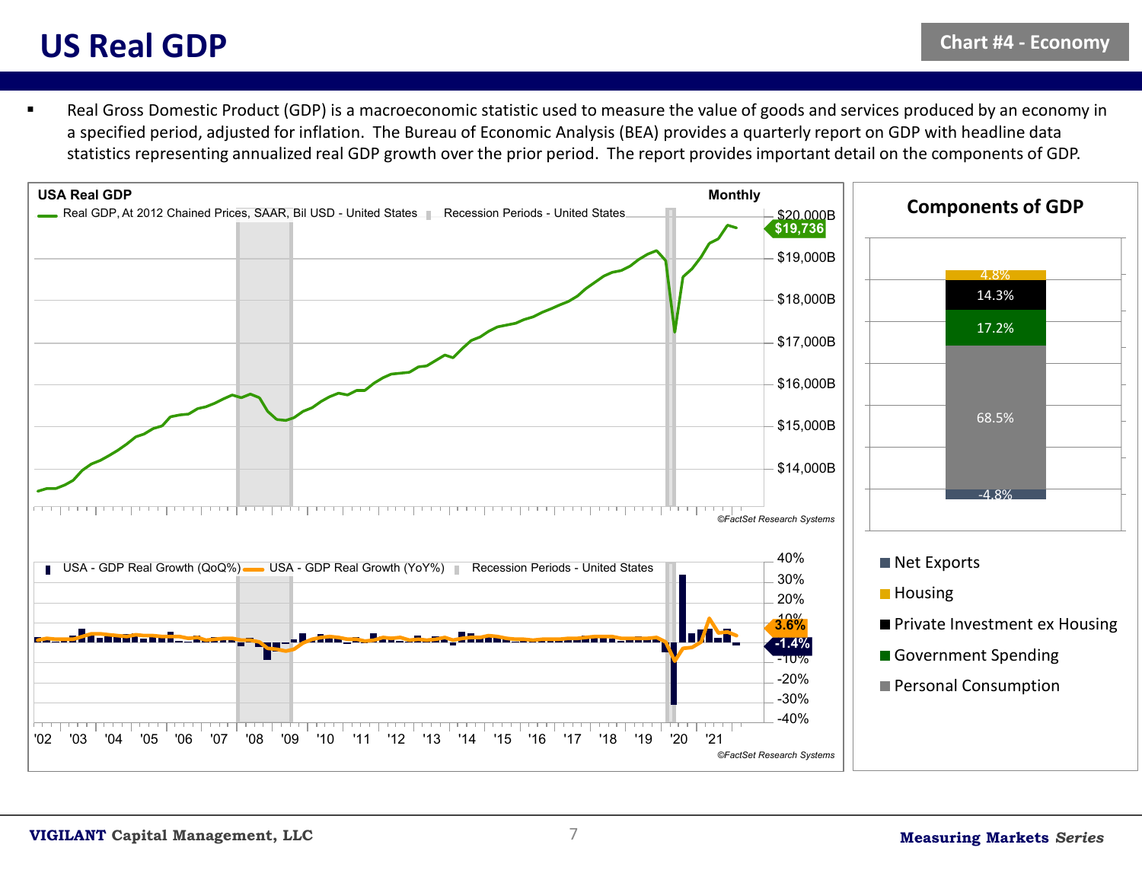# **US Real GDP**

■ Real Gross Domestic Product (GDP) is a macroeconomic statistic used to measure the value of goods and services produced by an economy in a specified period, adjusted for inflation. The Bureau of Economic Analysis (BEA) provides a quarterly report on GDP with headline data statistics representing annualized real GDP growth over the prior period. The report provides important detail on the components of GDP.

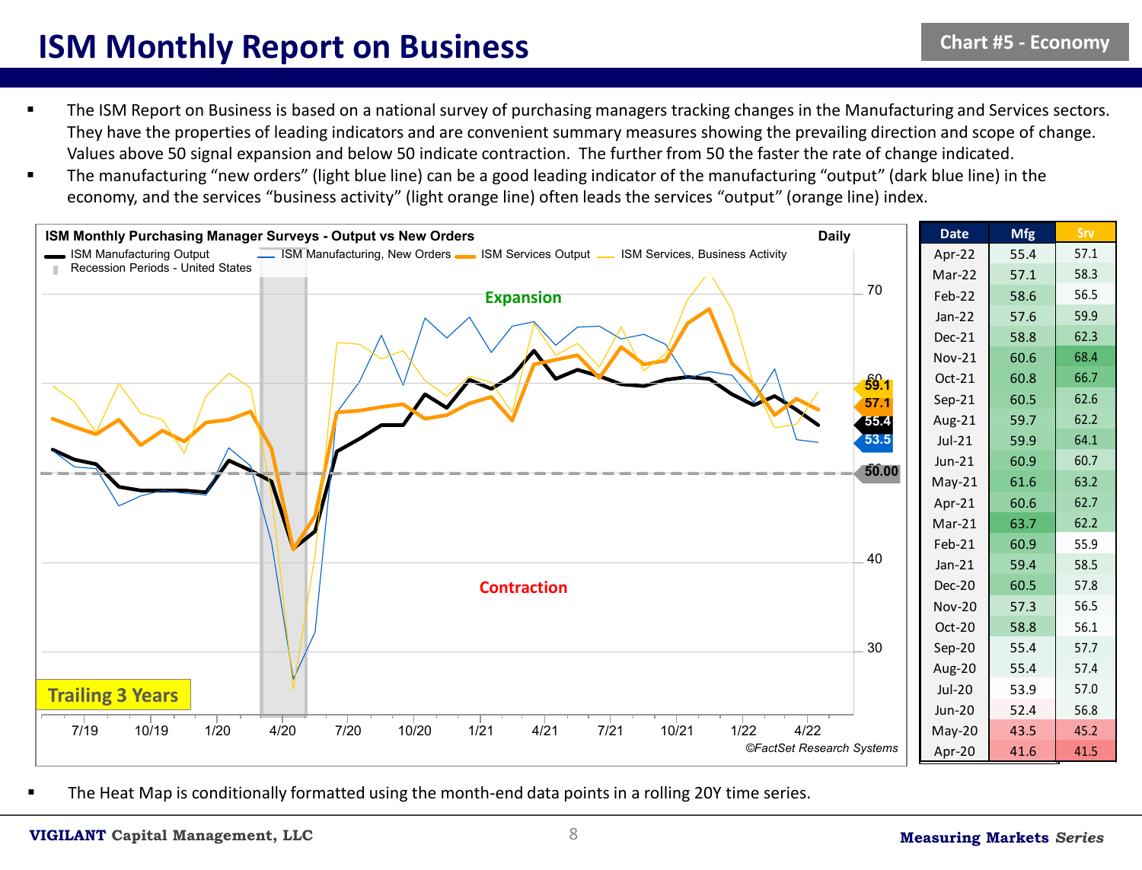# **ISM Monthly Report on Business**

- The ISM Report on Business is based on a national survey of purchasing managers tracking changes in the Manufacturing and Services sectors. They have the properties of leading indicators and are convenient summary measures showing the prevailing direction and scope of change. Values above 50 signal expansion and below 50 indicate contraction. The further from 50 the faster the rate of change indicated.
- The manufacturing "new orders" (light blue line) can be a good leading indicator of the manufacturing "output" (dark blue line) in the economy, and the services "business activity" (light orange line) often leads the services "output" (orange line) index.



The Heat Map is conditionally formatted using the month-end data points in a rolling 20Y time series.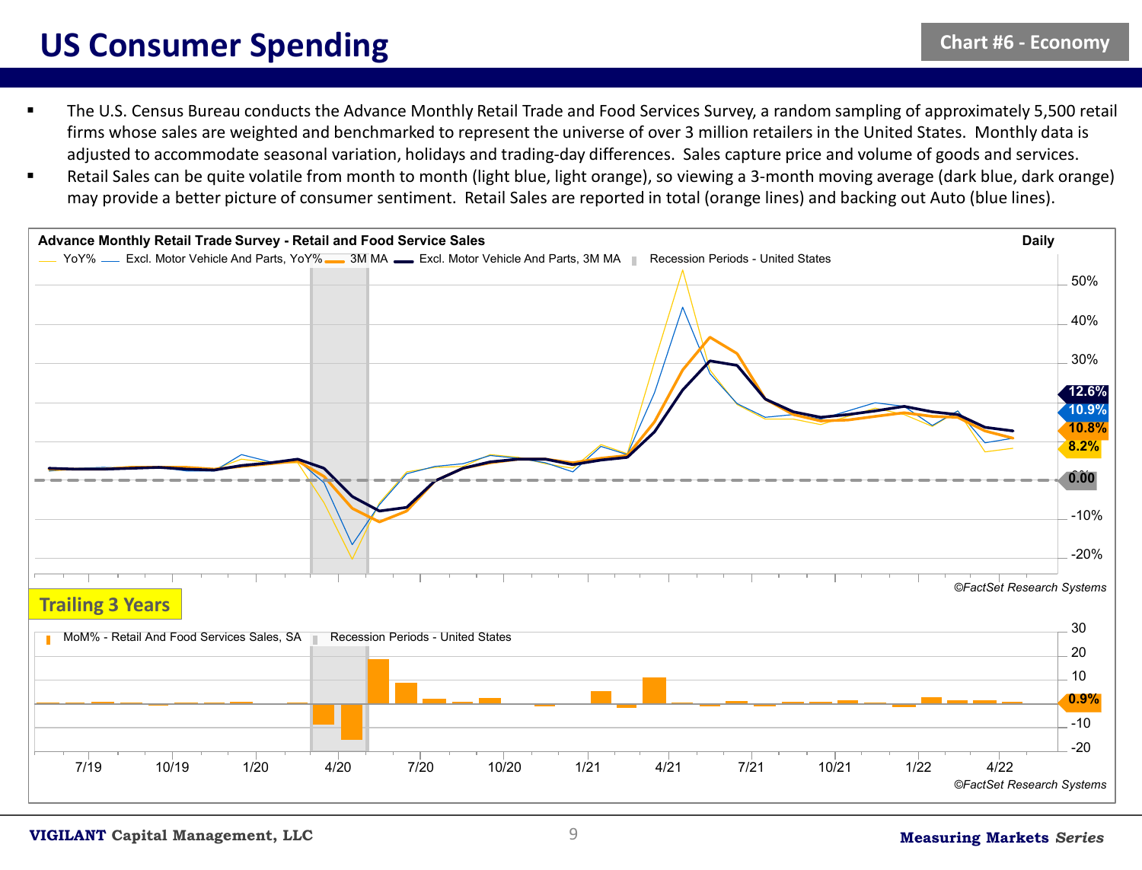# **US Consumer Spending**

- The U.S. Census Bureau conducts the Advance Monthly Retail Trade and Food Services Survey, a random sampling of approximately 5,500 retail firms whose sales are weighted and benchmarked to represent the universe of over 3 million retailers in the United States. Monthly data is adjusted to accommodate seasonal variation, holidays and trading-day differences. Sales capture price and volume of goods and services.
- Retail Sales can be quite volatile from month to month (light blue, light orange), so viewing a 3-month moving average (dark blue, dark orange) may provide a better picture of consumer sentiment. Retail Sales are reported in total (orange lines) and backing out Auto (blue lines).

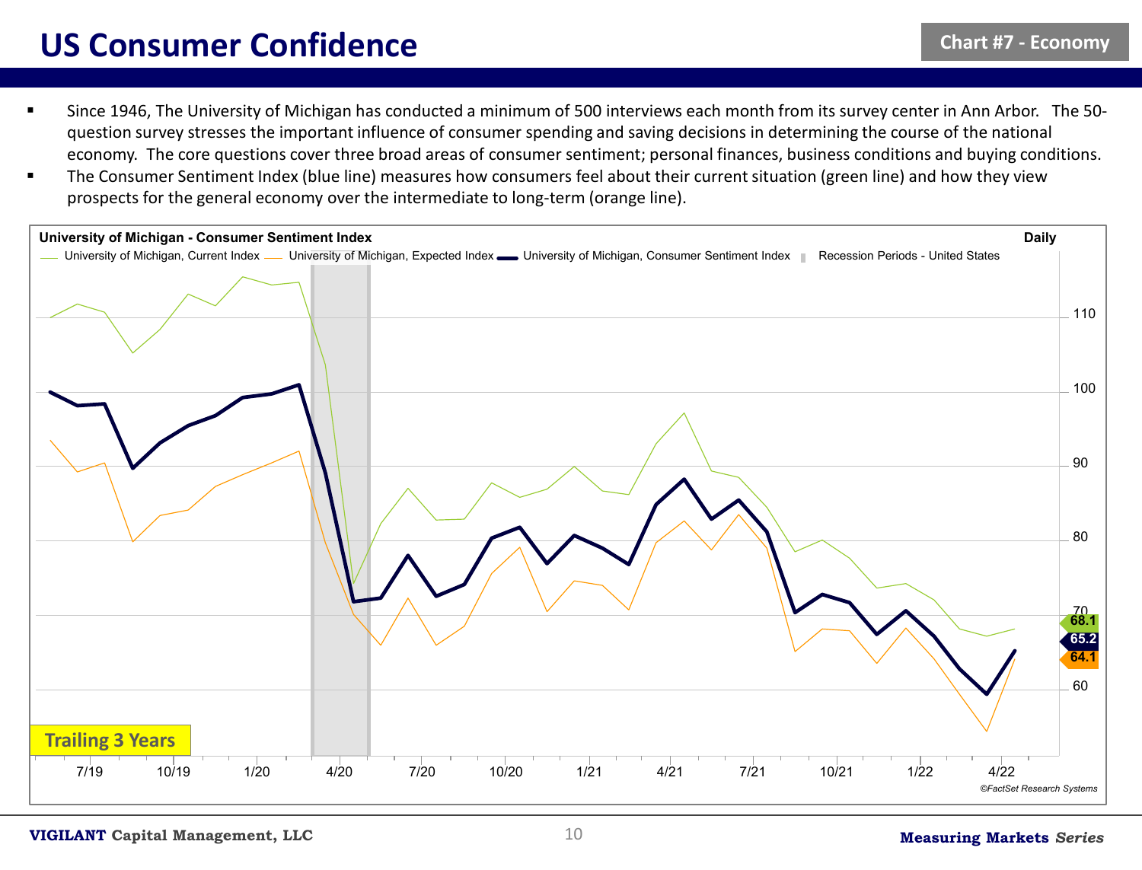#### **US Consumer Confidence**

- Since 1946, The University of Michigan has conducted a minimum of 500 interviews each month from its survey center in Ann Arbor. The 50 question survey stresses the important influence of consumer spending and saving decisions in determining the course of the national economy. The core questions cover three broad areas of consumer sentiment; personal finances, business conditions and buying conditions.
- The Consumer Sentiment Index (blue line) measures how consumers feel about their current situation (green line) and how they view prospects for the general economy over the intermediate to long-term (orange line).



**VIGILANT** Capital Management, LLC  $\qquad \qquad 10$  **Measuring Markets** *Series* 

**Chart #7 - Economy**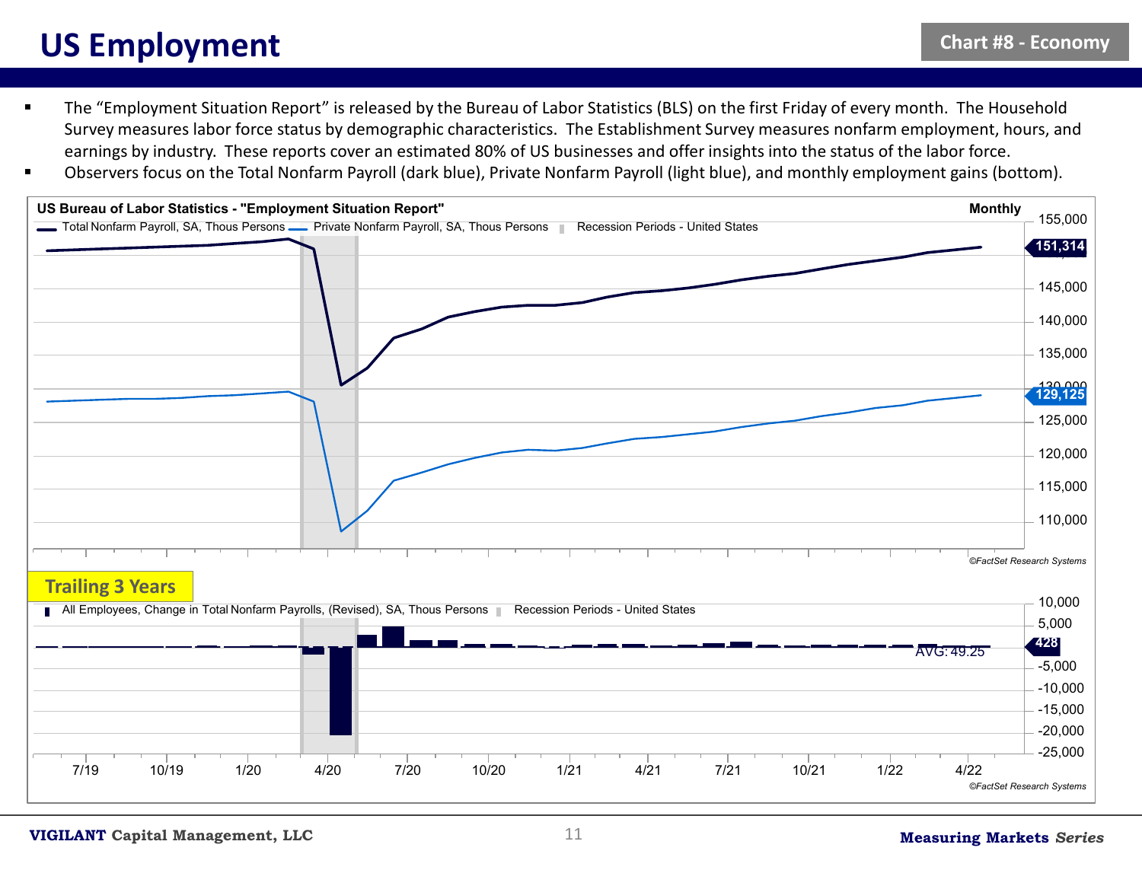#### **US Employment**

- The "Employment Situation Report" is released by the Bureau of Labor Statistics (BLS) on the first Friday of every month. The Household Survey measures labor force status by demographic characteristics. The Establishment Survey measures nonfarm employment, hours, and earnings by industry. These reports cover an estimated 80% of US businesses and offer insights into the status of the labor force.
- Observers focus on the Total Nonfarm Payroll (dark blue), Private Nonfarm Payroll (light blue), and monthly employment gains (bottom).

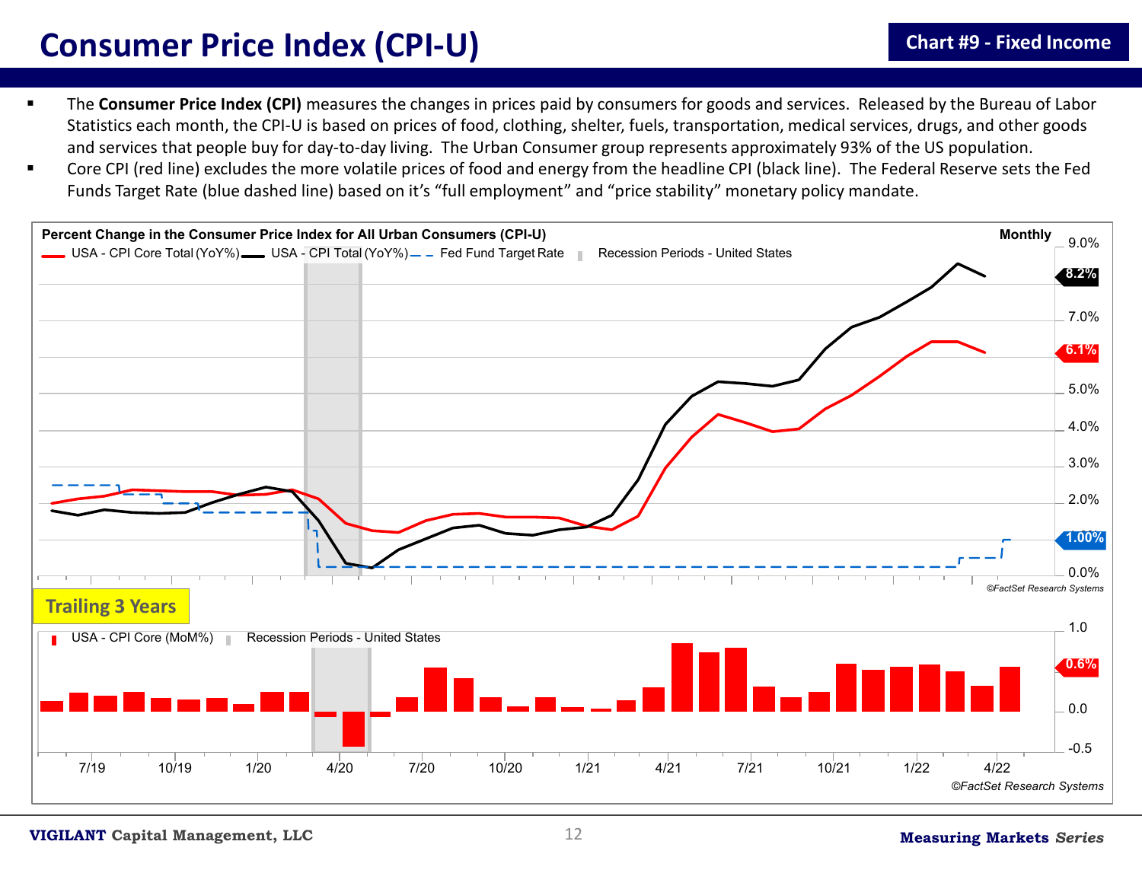- **The Consumer Price Index (CPI)** measures the changes in prices paid by consumers for goods and services. Released by the Bureau of Labor Statistics each month, the CPI-U is based on prices of food, clothing, shelter, fuels, transportation, medical services, drugs, and other goods and services that people buy for day-to-day living. The Urban Consumer group represents approximately 93% of the US population.
- Core CPI (red line) excludes the more volatile prices of food and energy from the headline CPI (black line). The Federal Reserve sets the Fed Funds Target Rate (blue dashed line) based on it's "full employment" and "price stability" monetary policy mandate.

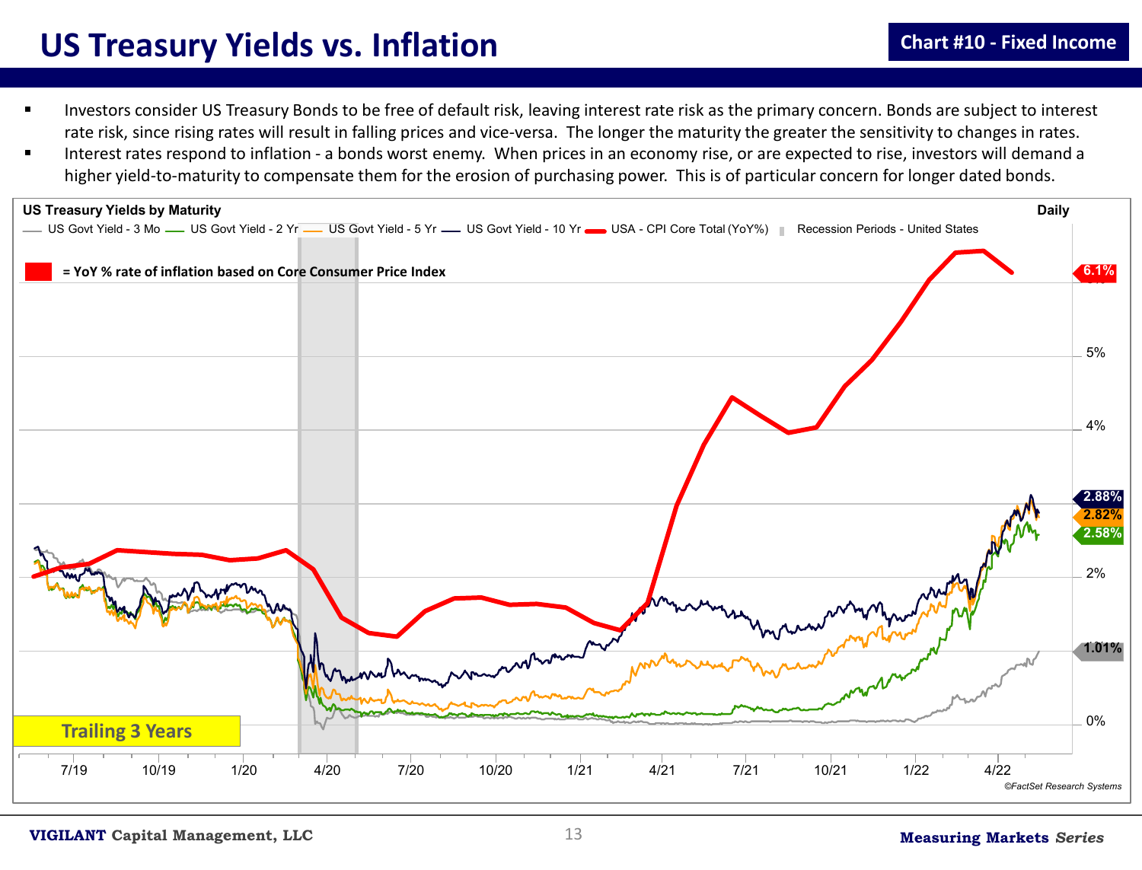#### **US Treasury Yields vs. Inflation**

- Investors consider US Treasury Bonds to be free of default risk, leaving interest rate risk as the primary concern. Bonds are subject to interest rate risk, since rising rates will result in falling prices and vice-versa. The longer the maturity the greater the sensitivity to changes in rates.
- Interest rates respond to inflation a bonds worst enemy. When prices in an economy rise, or are expected to rise, investors will demand a higher yield-to-maturity to compensate them for the erosion of purchasing power. This is of particular concern for longer dated bonds.

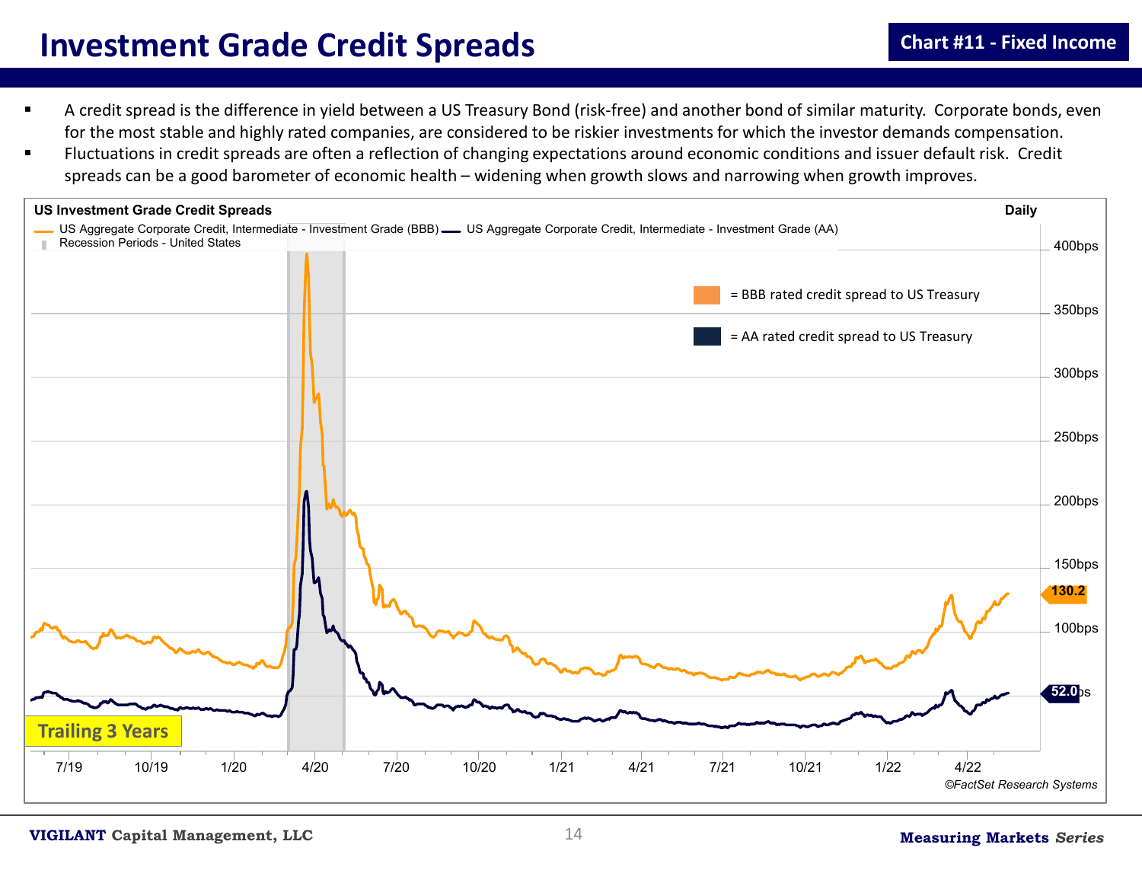#### **Investment Grade Credit Spreads**

- A credit spread is the difference in yield between a US Treasury Bond (risk-free) and another bond of similar maturity. Corporate bonds, even for the most stable and highly rated companies, are considered to be riskier investments for which the investor demands compensation.
- Fluctuations in credit spreads are often a reflection of changing expectations around economic conditions and issuer default risk. Credit spreads can be a good barometer of economic health – widening when growth slows and narrowing when growth improves.

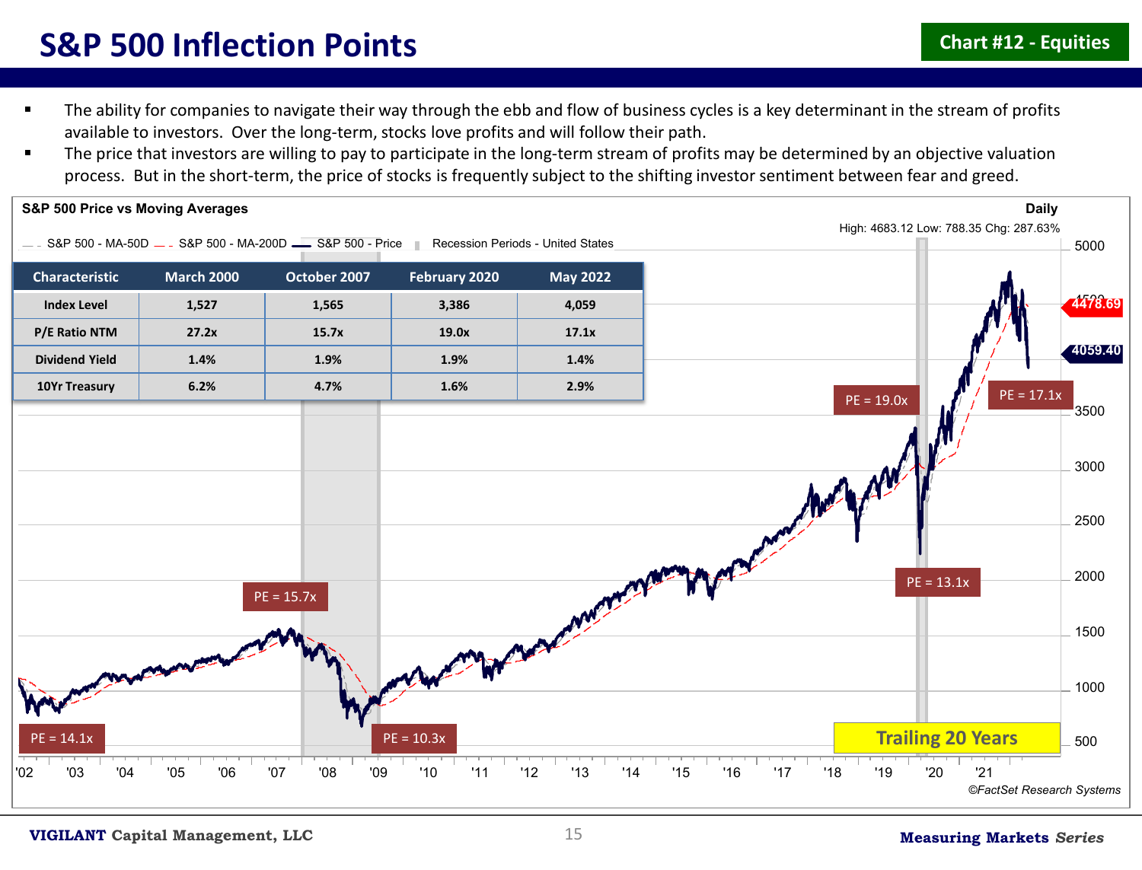#### **S&P 500 Inflection Points**

- The ability for companies to navigate their way through the ebb and flow of business cycles is a key determinant in the stream of profits available to investors. Over the long-term, stocks love profits and will follow their path.
- The price that investors are willing to pay to participate in the long-term stream of profits may be determined by an objective valuation process. But in the short-term, the price of stocks is frequently subject to the shifting investor sentiment between fear and greed.

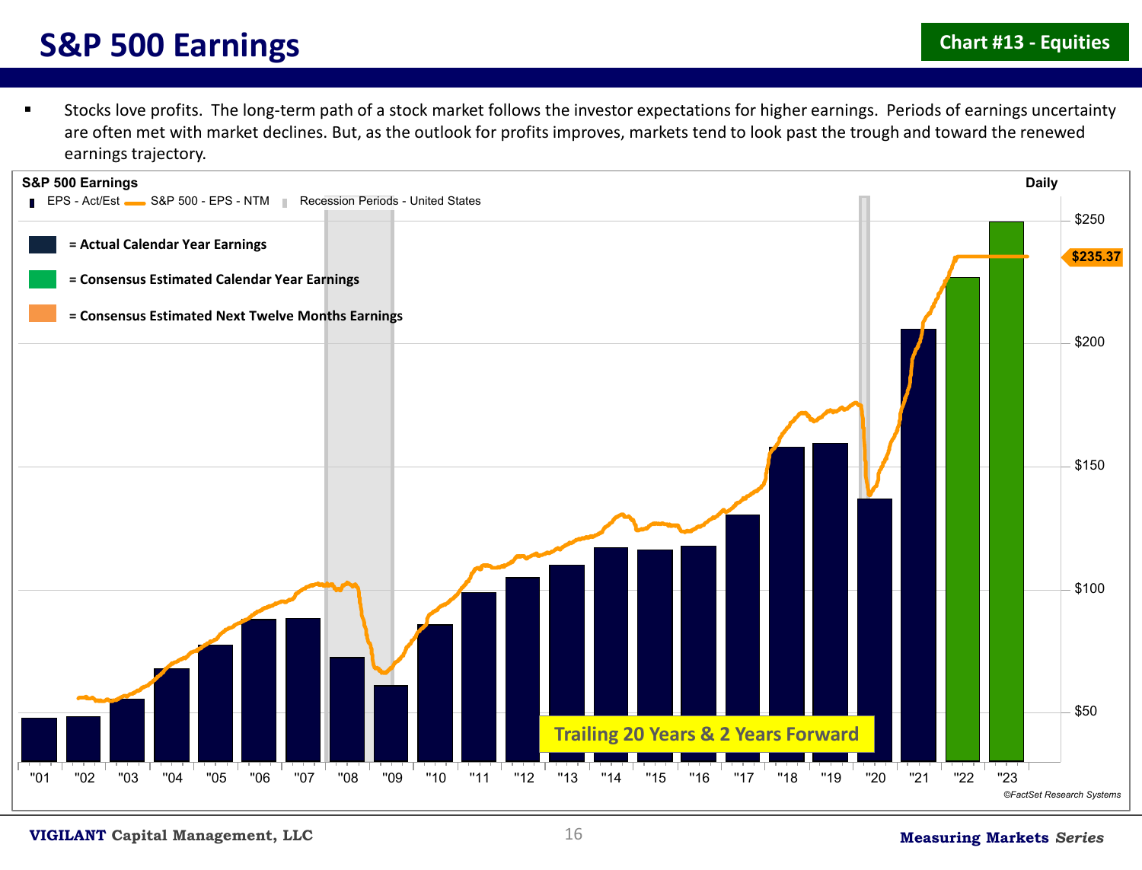Stocks love profits. The long-term path of a stock market follows the investor expectations for higher earnings. Periods of earnings uncertainty are often met with market declines. But, as the outlook for profits improves, markets tend to look past the trough and toward the renewed earnings trajectory.

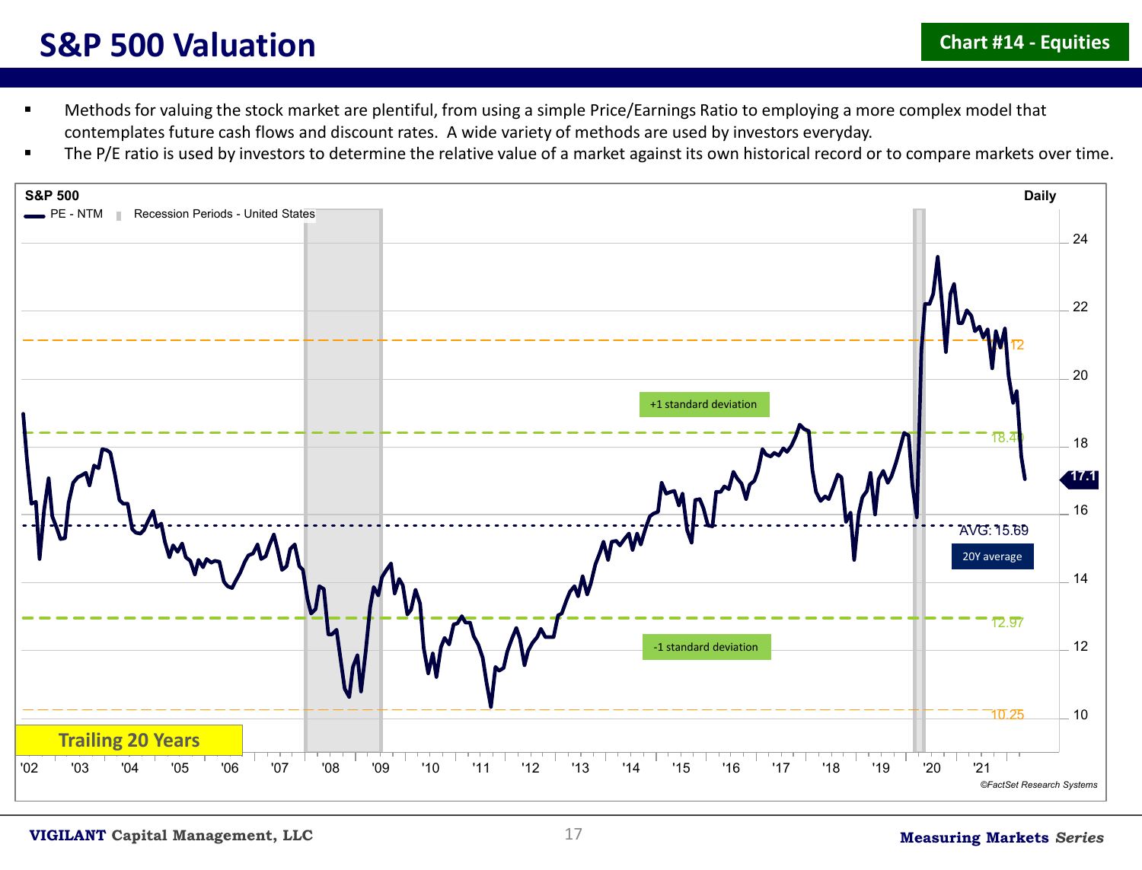#### **S&P 500 Valuation**

- **EXECT** Methods for valuing the stock market are plentiful, from using a simple Price/Earnings Ratio to employing a more complex model that contemplates future cash flows and discount rates. A wide variety of methods are used by investors everyday.
- The P/E ratio is used by investors to determine the relative value of a market against its own historical record or to compare markets over time.

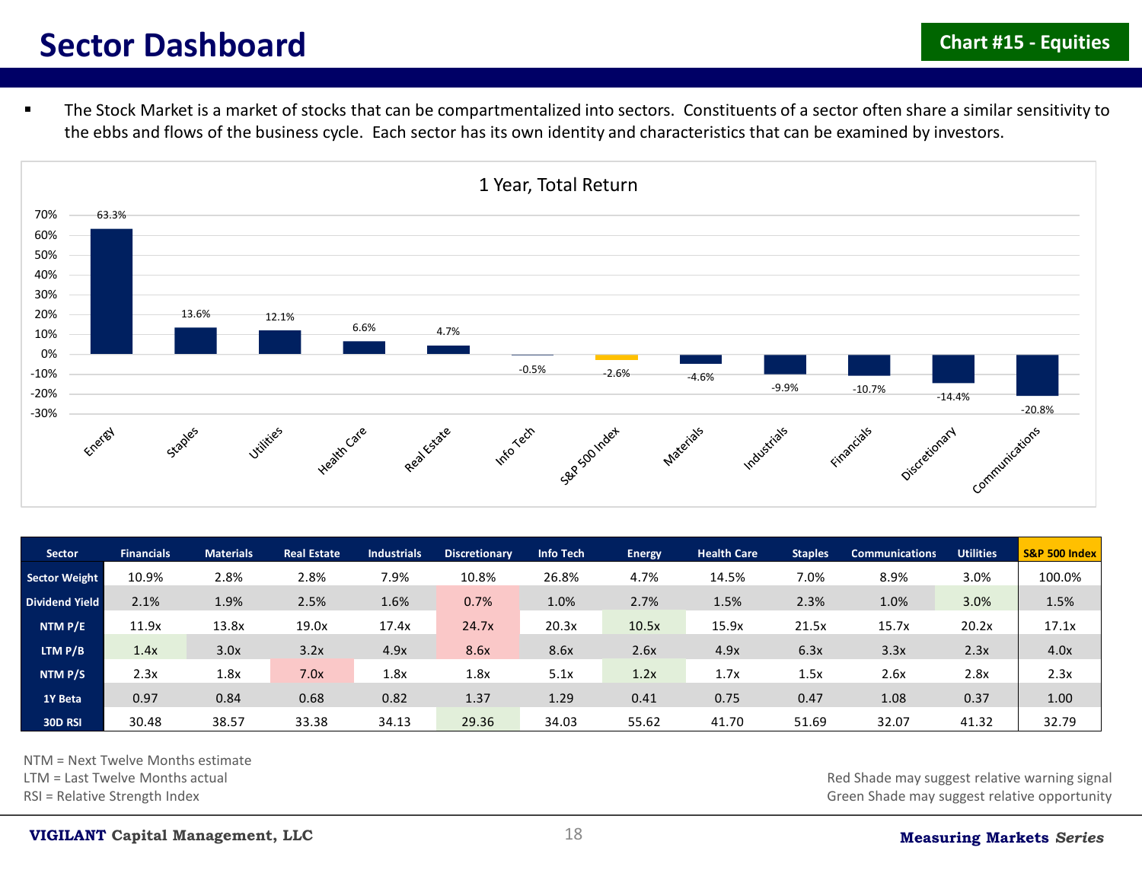#### **Sector Dashboard**

The Stock Market is a market of stocks that can be compartmentalized into sectors. Constituents of a sector often share a similar sensitivity to the ebbs and flows of the business cycle. Each sector has its own identity and characteristics that can be examined by investors.



| Sector                | <b>Financials</b> | <b>Materials</b> | <b>Real Estate</b> | <b>Industrials</b> | <b>Discretionary</b> | Info Tech | <b>Energy</b> | <b>Health Care</b> | <b>Staples</b> | <b>Communications</b> | <b>Utilities</b> | <b>S&amp;P 500 Index</b> |
|-----------------------|-------------------|------------------|--------------------|--------------------|----------------------|-----------|---------------|--------------------|----------------|-----------------------|------------------|--------------------------|
| <b>Sector Weight</b>  | 10.9%             | 2.8%             | 2.8%               | 7.9%               | 10.8%                | 26.8%     | 4.7%          | 14.5%              | 7.0%           | 8.9%                  | 3.0%             | 100.0%                   |
| <b>Dividend Yield</b> | 2.1%              | 1.9%             | 2.5%               | 1.6%               | 0.7%                 | 1.0%      | 2.7%          | 1.5%               | 2.3%           | 1.0%                  | 3.0%             | 1.5%                     |
| NTM P/E               | 11.9x             | 13.8x            | 19.0x              | 17.4x              | 24.7x                | 20.3x     | 10.5x         | 15.9x              | 21.5x          | 15.7x                 | 20.2x            | 17.1x                    |
| LTM $P/B$             | 1.4x              | 3.0x             | 3.2x               | 4.9x               | 8.6x                 | 8.6x      | 2.6x          | 4.9x               | 6.3x           | 3.3x                  | 2.3x             | 4.0x                     |
| NTM P/S               | 2.3x              | 1.8x             | 7.0x               | 1.8x               | 1.8x                 | 5.1x      | 1.2x          | 1.7x               | 1.5x           | 2.6x                  | 2.8x             | 2.3x                     |
| 1Y Beta               | 0.97              | 0.84             | 0.68               | 0.82               | 1.37                 | 1.29      | 0.41          | 0.75               | 0.47           | 1.08                  | 0.37             | 1.00                     |
| 30D RSI               | 30.48             | 38.57            | 33.38              | 34.13              | 29.36                | 34.03     | 55.62         | 41.70              | 51.69          | 32.07                 | 41.32            | 32.79                    |

NTM = Next Twelve Months estimate

LTM = Last Twelve Months actual and the signal Red Shade may suggest relative warning signal RSI = Relative Strength Index extended the strength index of the strength index Green Shade may suggest relative opportunity

**VIGILANT** Capital Management, LLC  $18$  **Measuring Markets** *Series*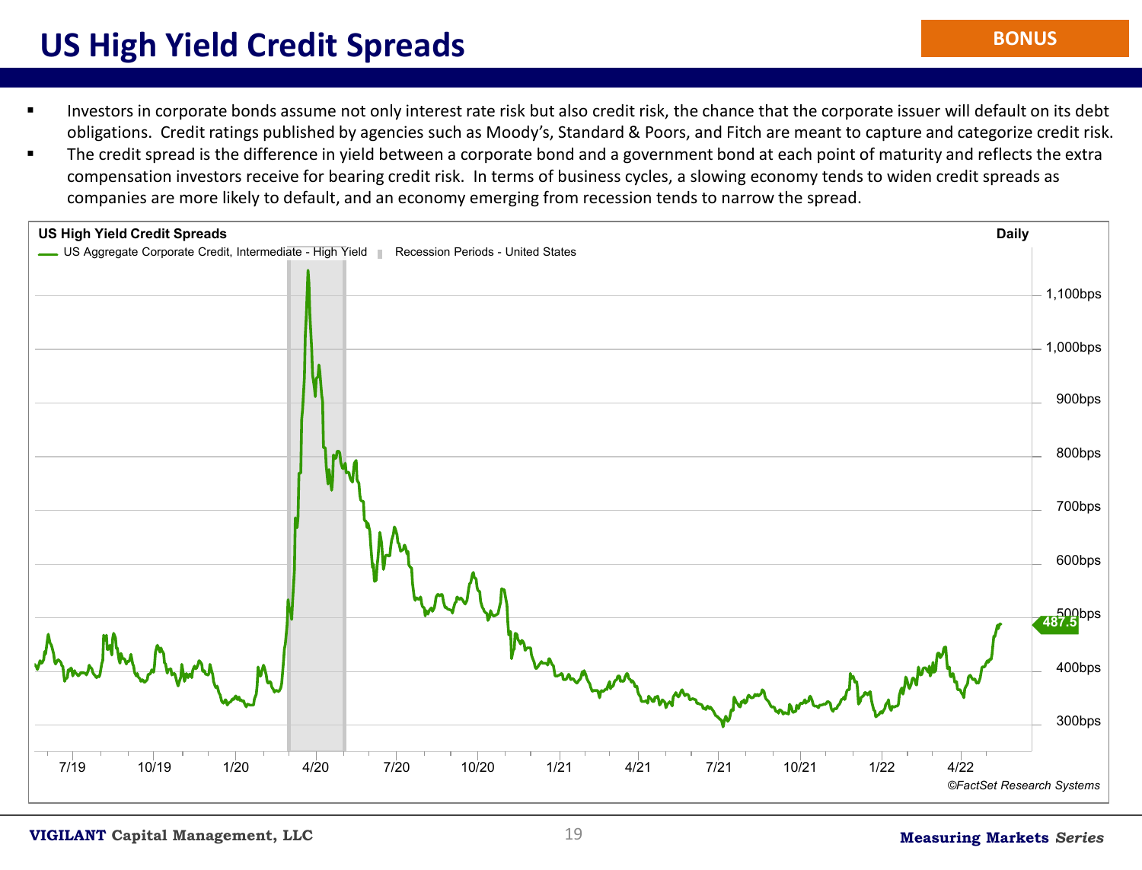# **US High Yield Credit Spreads**

- Investors in corporate bonds assume not only interest rate risk but also credit risk, the chance that the corporate issuer will default on its debt obligations. Credit ratings published by agencies such as Moody's, Standard & Poors, and Fitch are meant to capture and categorize credit risk.
- The credit spread is the difference in yield between a corporate bond and a government bond at each point of maturity and reflects the extra compensation investors receive for bearing credit risk. In terms of business cycles, a slowing economy tends to widen credit spreads as companies are more likely to default, and an economy emerging from recession tends to narrow the spread.



#### **VIGILANT** Capital Management, LLC  $\qquad \qquad 19$  **Measuring Markets** *Series*